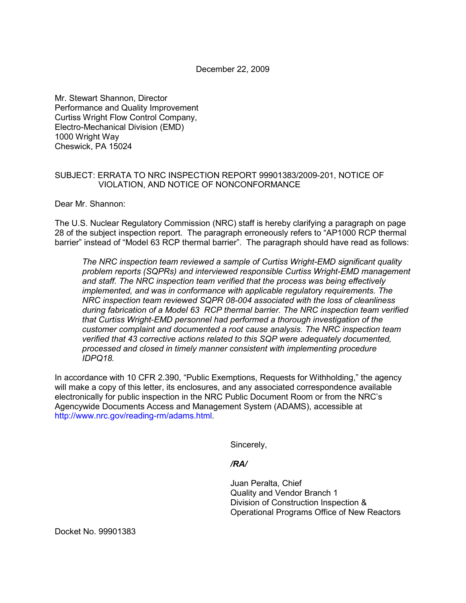December 22, 2009

Mr. Stewart Shannon, Director Performance and Quality Improvement Curtiss Wright Flow Control Company, Electro-Mechanical Division (EMD) 1000 Wright Way Cheswick, PA 15024

## SUBJECT: ERRATA TO NRC INSPECTION REPORT 99901383/2009-201, NOTICE OF VIOLATION, AND NOTICE OF NONCONFORMANCE

Dear Mr. Shannon:

The U.S. Nuclear Regulatory Commission (NRC) staff is hereby clarifying a paragraph on page 28 of the subject inspection report. The paragraph erroneously refers to "AP1000 RCP thermal barrier" instead of "Model 63 RCP thermal barrier". The paragraph should have read as follows:

*The NRC inspection team reviewed a sample of Curtiss Wright-EMD significant quality problem reports (SQPRs) and interviewed responsible Curtiss Wright-EMD management and staff. The NRC inspection team verified that the process was being effectively implemented, and was in conformance with applicable requiatory requirements. The NRC inspection team reviewed SQPR 08-004 associated with the loss of cleanliness during fabrication of a Model 63 RCP thermal barrier. The NRC inspection team verified that Curtiss Wright-EMD personnel had performed a thorough investigation of the customer complaint and documented a root cause analysis. The NRC inspection team verified that 43 corrective actions related to this SQP were adequately documented, processed and closed in timely manner consistent with implementing procedure IDPQ18.* 

In accordance with 10 CFR 2.390, "Public Exemptions, Requests for Withholding," the agency will make a copy of this letter, its enclosures, and any associated correspondence available electronically for public inspection in the NRC Public Document Room or from the NRC's Agencywide Documents Access and Management System (ADAMS), accessible at http://www.nrc.gov/reading-rm/adams.html.

Sincerely,

## */RA/*

Juan Peralta, Chief Quality and Vendor Branch 1 Division of Construction Inspection & Operational Programs Office of New Reactors

Docket No. 99901383